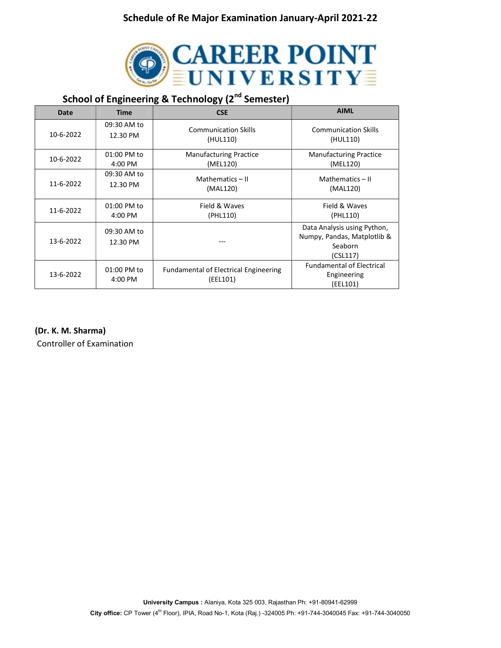

# School of Engineering & Technology (2<sup>nd</sup> Semester)

| Date      | <b>Time</b>             | <b>CSE</b>                                               | <b>AIML</b>                                                                       |
|-----------|-------------------------|----------------------------------------------------------|-----------------------------------------------------------------------------------|
| 10-6-2022 | 09:30 AM to             | <b>Communication Skills</b>                              | <b>Communication Skills</b>                                                       |
|           | 12.30 PM                | (HUL110)                                                 | (HUL110)                                                                          |
| 10-6-2022 | 01:00 PM to             | <b>Manufacturing Practice</b>                            | <b>Manufacturing Practice</b>                                                     |
|           | 4:00 PM                 | (MEL120)                                                 | (MEL120)                                                                          |
| 11-6-2022 | 09:30 AM to             | Mathematics - II                                         | Mathematics $-$ II                                                                |
|           | 12.30 PM                | (MAL120)                                                 | (MAL120)                                                                          |
| 11-6-2022 | 01:00 PM to             | Field & Waves                                            | Field & Waves                                                                     |
|           | 4:00 PM                 | (PHL110)                                                 | (PHL110)                                                                          |
| 13-6-2022 | 09:30 AM to<br>12.30 PM |                                                          | Data Analysis using Python,<br>Numpy, Pandas, Matplotlib &<br>Seaborn<br>(CSL117) |
| 13-6-2022 | 01:00 PM to<br>4:00 PM  | <b>Fundamental of Electrical Engineering</b><br>(EEL101) | <b>Fundamental of Electrical</b><br>Engineering<br>(EEL101)                       |

(Dr. K. M. Sharma)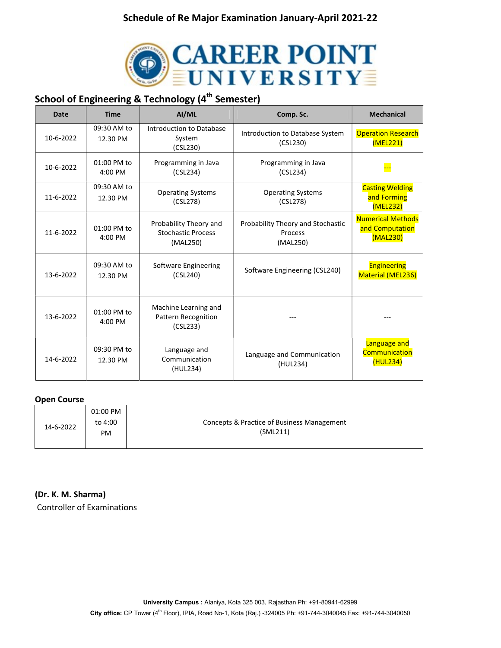

## School of Engineering & Technology (4<sup>th</sup> Semester)

| <b>Date</b> | <b>Time</b>             | AI/ML                                                           | Comp. Sc.                                                | <b>Mechanical</b>                                       |
|-------------|-------------------------|-----------------------------------------------------------------|----------------------------------------------------------|---------------------------------------------------------|
| 10-6-2022   | 09:30 AM to<br>12.30 PM | Introduction to Database<br>System<br>(CSL230)                  | Introduction to Database System<br>(CSL230)              | <b>Operation Research</b><br>(MEL221)                   |
| 10-6-2022   | 01:00 PM to<br>4:00 PM  | Programming in Java<br>(CSL234)                                 | Programming in Java<br>(CSL234)                          |                                                         |
| 11-6-2022   | 09:30 AM to<br>12.30 PM | <b>Operating Systems</b><br>(CSL278)                            | <b>Operating Systems</b><br>(CSL278)                     | <b>Casting Welding</b><br>and Forming<br>(MEL232)       |
| 11-6-2022   | 01:00 PM to<br>4:00 PM  | Probability Theory and<br><b>Stochastic Process</b><br>(MAL250) | Probability Theory and Stochastic<br>Process<br>(MAL250) | <b>Numerical Methods</b><br>and Computation<br>(MAL230) |
| 13-6-2022   | 09:30 AM to<br>12.30 PM | Software Engineering<br>(CSL240)                                | Software Engineering (CSL240)                            | <b>Engineering</b><br>Material (MEL236)                 |
| 13-6-2022   | 01:00 PM to<br>4:00 PM  | Machine Learning and<br><b>Pattern Recognition</b><br>(CSL233)  |                                                          |                                                         |
| 14-6-2022   | 09:30 PM to<br>12.30 PM | Language and<br>Communication<br>(HUL234)                       | Language and Communication<br>(HUL234)                   | Language and<br><b>Communication</b><br>(HUL234)        |

#### Open Course

| 14-6-2022 | 01:00 PM<br>to 4:00<br><b>PM</b> | Concepts & Practice of Business Management<br>(SML211) |
|-----------|----------------------------------|--------------------------------------------------------|
|-----------|----------------------------------|--------------------------------------------------------|

#### (Dr. K. M. Sharma)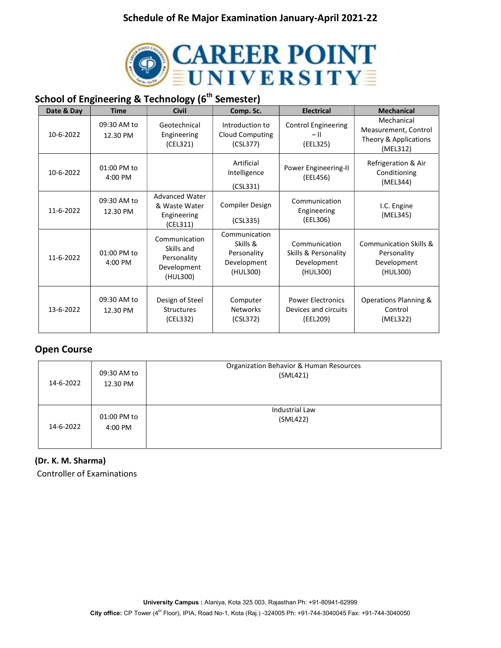

# School of Engineering & Technology (6<sup>th</sup> Semester)

| Date & Day | <b>Time</b>             | <b>Civil</b>                                                          | Comp. Sc.                                                           | <b>Electrical</b>                                                | <b>Mechanical</b>                                                       |
|------------|-------------------------|-----------------------------------------------------------------------|---------------------------------------------------------------------|------------------------------------------------------------------|-------------------------------------------------------------------------|
| 10-6-2022  | 09:30 AM to<br>12.30 PM | Geotechnical<br>Engineering<br>(CEL321)                               | Introduction to<br><b>Cloud Computing</b><br>(CSL377)               | <b>Control Engineering</b><br>$-$ II<br>(EEL325)                 | Mechanical<br>Measurement, Control<br>Theory & Applications<br>(MEL312) |
| 10-6-2022  | 01:00 PM to<br>4:00 PM  |                                                                       | Artificial<br>Intelligence<br>(CSL331)                              | Power Engineering-II<br>(EEL456)                                 | Refrigeration & Air<br>Conditioning<br>(MEL344)                         |
| 11-6-2022  | 09:30 AM to<br>12.30 PM | <b>Advanced Water</b><br>& Waste Water<br>Engineering<br>(CEL311)     | Compiler Design<br>(CSL335)                                         | Communication<br>Engineering<br>(EEL306)                         | I.C. Engine<br>(MEL345)                                                 |
| 11-6-2022  | 01:00 PM to<br>4:00 PM  | Communication<br>Skills and<br>Personality<br>Development<br>(HUL300) | Communication<br>Skills &<br>Personality<br>Development<br>(HUL300) | Communication<br>Skills & Personality<br>Development<br>(HUL300) | Communication Skills &<br>Personality<br>Development<br>(HUL300)        |
| 13-6-2022  | 09:30 AM to<br>12.30 PM | Design of Steel<br><b>Structures</b><br>(CEL332)                      | Computer<br><b>Networks</b><br>(CSL372)                             | <b>Power Electronics</b><br>Devices and circuits<br>(EEL209)     | Operations Planning &<br>Control<br>(MEL322)                            |

## Open Course

| 14-6-2022 | 09:30 AM to<br>12.30 PM | Organization Behavior & Human Resources<br>(SML421) |
|-----------|-------------------------|-----------------------------------------------------|
| 14-6-2022 | 01:00 PM to<br>4:00 PM  | Industrial Law<br>(SML422)                          |

### (Dr. K. M. Sharma)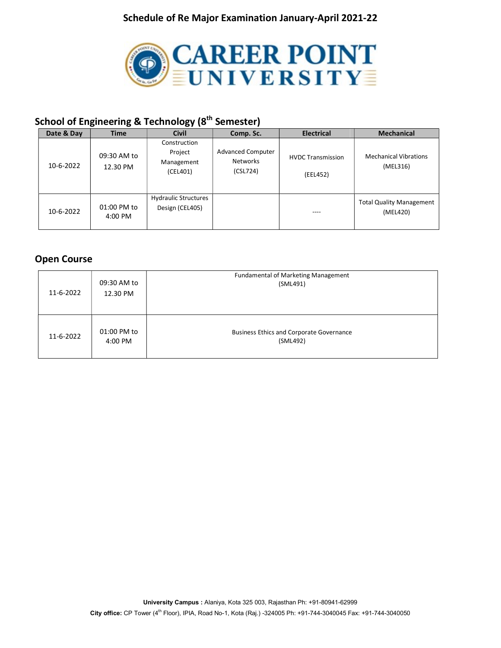

# School of Engineering & Technology (8<sup>th</sup> Semester)

| Date & Day | <b>Time</b>             | <b>Civil</b>                                      | Comp. Sc.                                        | <b>Electrical</b>                    | <b>Mechanical</b>                           |
|------------|-------------------------|---------------------------------------------------|--------------------------------------------------|--------------------------------------|---------------------------------------------|
| 10-6-2022  | 09:30 AM to<br>12.30 PM | Construction<br>Project<br>Management<br>(CEL401) | <b>Advanced Computer</b><br>Networks<br>(CSL724) | <b>HVDC Transmission</b><br>(EEL452) | <b>Mechanical Vibrations</b><br>(MEL316)    |
| 10-6-2022  | 01:00 PM to<br>4:00 PM  | <b>Hydraulic Structures</b><br>Design (CEL405)    |                                                  | ----                                 | <b>Total Quality Management</b><br>(MEL420) |

## Open Course

| 11-6-2022 | 09:30 AM to<br>12.30 PM | <b>Fundamental of Marketing Management</b><br>(SML491)      |
|-----------|-------------------------|-------------------------------------------------------------|
| 11-6-2022 | 01:00 PM to<br>4:00 PM  | <b>Business Ethics and Corporate Governance</b><br>(SML492) |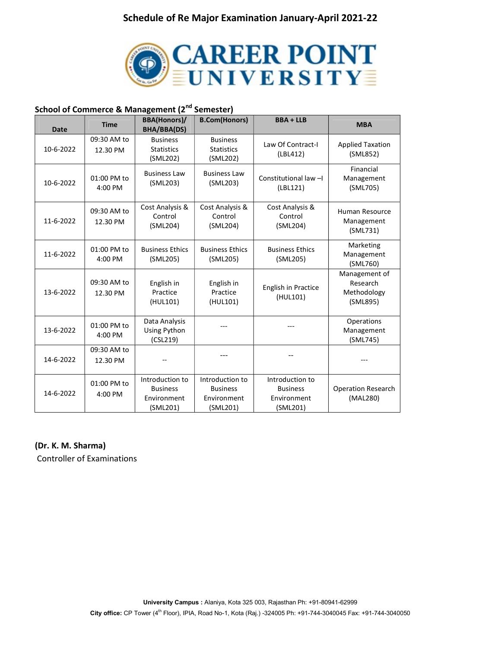

## School of Commerce & Management (2<sup>nd</sup> Semester)

| <b>Date</b> | <b>Time</b>             | <b>BBA(Honors)/</b><br><b>BHA/BBA(DS)</b>                     | <b>B.Com(Honors)</b>                                          | <b>BBA + LLB</b>                                              | <b>MBA</b>                                           |
|-------------|-------------------------|---------------------------------------------------------------|---------------------------------------------------------------|---------------------------------------------------------------|------------------------------------------------------|
| 10-6-2022   | 09:30 AM to<br>12.30 PM | <b>Business</b><br><b>Statistics</b><br>(SML202)              | <b>Business</b><br><b>Statistics</b><br>(SML202)              | Law Of Contract-I<br>(LBL412)                                 | <b>Applied Taxation</b><br>(SML852)                  |
| 10-6-2022   | 01:00 PM to<br>4:00 PM  | <b>Business Law</b><br>(SML203)                               | <b>Business Law</b><br>(SML203)                               | Constitutional law-I<br>(LBL121)                              | Financial<br>Management<br>(SML705)                  |
| 11-6-2022   | 09:30 AM to<br>12.30 PM | Cost Analysis &<br>Control<br>(SML204)                        | Cost Analysis &<br>Control<br>(SML204)                        | Cost Analysis &<br>Control<br>(SML204)                        | Human Resource<br>Management<br>(SML731)             |
| 11-6-2022   | 01:00 PM to<br>4:00 PM  | <b>Business Ethics</b><br>(SML205)                            | <b>Business Ethics</b><br>(SML205)                            | <b>Business Ethics</b><br>(SML205)                            | Marketing<br>Management<br>(SML760)                  |
| 13-6-2022   | 09:30 AM to<br>12.30 PM | English in<br>Practice<br>(HUL101)                            | English in<br>Practice<br>(HUL101)                            | English in Practice<br>(HUL101)                               | Management of<br>Research<br>Methodology<br>(SML895) |
| 13-6-2022   | 01:00 PM to<br>4:00 PM  | Data Analysis<br>Using Python<br>(CSL219)                     |                                                               |                                                               | Operations<br>Management<br>(SML745)                 |
| 14-6-2022   | 09:30 AM to<br>12.30 PM |                                                               | ---                                                           |                                                               |                                                      |
| 14-6-2022   | 01:00 PM to<br>4:00 PM  | Introduction to<br><b>Business</b><br>Environment<br>(SML201) | Introduction to<br><b>Business</b><br>Environment<br>(SML201) | Introduction to<br><b>Business</b><br>Environment<br>(SML201) | <b>Operation Research</b><br>(MAL280)                |

#### (Dr. K. M. Sharma)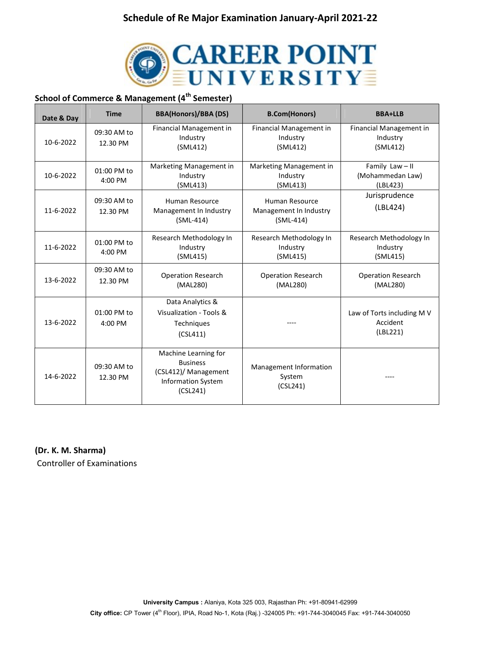

## School of Commerce & Management (4<sup>th</sup> Semester)

| Date & Day | <b>Time</b>             | <b>BBA(Honors)/BBA (DS)</b>                                                                              | <b>B.Com(Honors)</b>                                    | <b>BBA+LLB</b>                                     |
|------------|-------------------------|----------------------------------------------------------------------------------------------------------|---------------------------------------------------------|----------------------------------------------------|
| 10-6-2022  | 09:30 AM to<br>12.30 PM | Financial Management in<br>Industry<br>(SML412)                                                          | Financial Management in<br>Industry<br>(SML412)         | Financial Management in<br>Industry<br>(SML412)    |
| 10-6-2022  | 01:00 PM to<br>4:00 PM  | Marketing Management in<br>Industry<br>(SML413)                                                          | Marketing Management in<br>Industry<br>(SML413)         | Family Law-II<br>(Mohammedan Law)<br>(LBL423)      |
| 11-6-2022  | 09:30 AM to<br>12.30 PM | Human Resource<br>Management In Industry<br>$(SML-414)$                                                  | Human Resource<br>Management In Industry<br>$(SML-414)$ | Jurisprudence<br>(LBL424)                          |
| 11-6-2022  | 01:00 PM to<br>4:00 PM  | Research Methodology In<br>Industry<br>(SML415)                                                          | Research Methodology In<br>Industry<br>(SML415)         | Research Methodology In<br>Industry<br>(SML415)    |
| 13-6-2022  | 09:30 AM to<br>12.30 PM | <b>Operation Research</b><br>(MAL280)                                                                    | <b>Operation Research</b><br>(MAL280)                   | <b>Operation Research</b><br>(MAL280)              |
| 13-6-2022  | 01:00 PM to<br>4:00 PM  | Data Analytics &<br>Visualization - Tools &<br><b>Techniques</b><br>(CSL411)                             |                                                         | Law of Torts including M V<br>Accident<br>(LBL221) |
| 14-6-2022  | 09:30 AM to<br>12.30 PM | Machine Learning for<br><b>Business</b><br>(CSL412)/ Management<br><b>Information System</b><br>(CSL241) | Management Information<br>System<br>(CSL241)            |                                                    |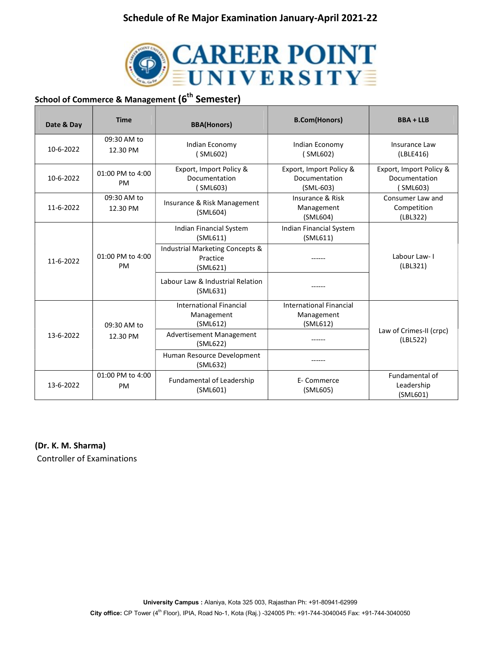

# School of Commerce & Management (6<sup>th</sup> Semester)

| Date & Day      | <b>Time</b>                | <b>BBA(Honors)</b>                                       | <b>B.Com(Honors)</b>                                     | <b>BBA + LLB</b>                                    |
|-----------------|----------------------------|----------------------------------------------------------|----------------------------------------------------------|-----------------------------------------------------|
| 10-6-2022       | 09:30 AM to<br>12.30 PM    | Indian Economy<br>(SML602)                               | Indian Economy<br>(SML602)                               | Insurance Law<br>(LBLE416)                          |
| 10-6-2022       | 01:00 PM to 4:00<br>PM     | Export, Import Policy &<br>Documentation<br>SML603)      | Export, Import Policy &<br>Documentation<br>$(SML-603)$  | Export, Import Policy &<br>Documentation<br>SML603) |
| 11-6-2022       | 09:30 AM to<br>12.30 PM    | Insurance & Risk Management<br>(SML604)                  | Insurance & Risk<br>Management<br>(SML604)               | Consumer Law and<br>Competition<br>(LBL322)         |
|                 |                            | Indian Financial System<br>(SML611)                      | Indian Financial System<br>(SML611)                      |                                                     |
| $11 - 6 - 2022$ | $01:00$ PM to $4:00$<br>PM | Industrial Marketing Concepts &<br>Practice<br>(SML621)  |                                                          | Labour Law-I<br>(LBL321)                            |
|                 |                            | Labour Law & Industrial Relation<br>(SML631)             |                                                          |                                                     |
| 09:30 AM to     |                            | <b>International Financial</b><br>Management<br>(SML612) | <b>International Financial</b><br>Management<br>(SML612) |                                                     |
| 13-6-2022       | 12.30 PM                   | Advertisement Management<br>(SML622)                     |                                                          | Law of Crimes-II (crpc)<br>(LBL522)                 |
|                 |                            | Human Resource Development<br>(SML632)                   |                                                          |                                                     |
| 13-6-2022       | 01:00 PM to 4:00<br>PM     | Fundamental of Leadership<br>(SML601)                    | E- Commerce<br>(SML605)                                  | Fundamental of<br>Leadership<br>(SML601)            |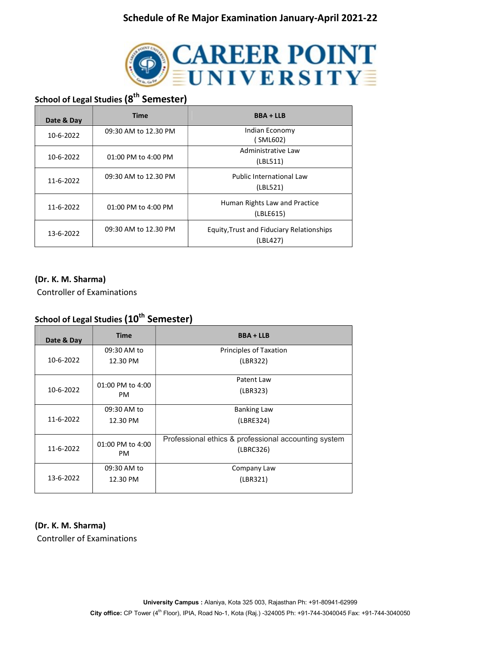

## School of Legal Studies (8<sup>th</sup> Semester)

| Date & Day | <b>Time</b><br><b>BBA + LLB</b> |                                                              |
|------------|---------------------------------|--------------------------------------------------------------|
| 10-6-2022  | 09:30 AM to 12.30 PM            | Indian Economy<br>(SML602)                                   |
| 10-6-2022  | 01:00 PM to 4:00 PM             | Administrative Law<br>(LBL511)                               |
| 11-6-2022  | 09:30 AM to 12.30 PM            | Public International Law<br>(LBL521)                         |
| 11-6-2022  | 01:00 PM to 4:00 PM             | Human Rights Law and Practice<br>(LBLE615)                   |
| 13-6-2022  | 09:30 AM to 12.30 PM            | <b>Equity, Trust and Fiduciary Relationships</b><br>(LBL427) |

#### (Dr. K. M. Sharma)

Controller of Examinations

## School of Legal Studies (10<sup>th</sup> Semester)

| Date & Day | <b>Time</b>                   | <b>BBA + LLB</b>                                                  |
|------------|-------------------------------|-------------------------------------------------------------------|
|            | 09:30 AM to                   | Principles of Taxation                                            |
| 10-6-2022  | 12.30 PM                      | (LBR322)                                                          |
|            | 01:00 PM to 4:00              | Patent Law                                                        |
| 10-6-2022  | <b>PM</b>                     | (LBR323)                                                          |
|            | 09:30 AM to                   | <b>Banking Law</b>                                                |
| 11-6-2022  | 12.30 PM                      | (LBRE324)                                                         |
| 11-6-2022  | 01:00 PM to 4:00<br><b>PM</b> | Professional ethics & professional accounting system<br>(LBRC326) |
|            | 09:30 AM to                   | Company Law                                                       |
| 13-6-2022  | 12.30 PM                      | (LBR321)                                                          |

### (Dr. K. M. Sharma)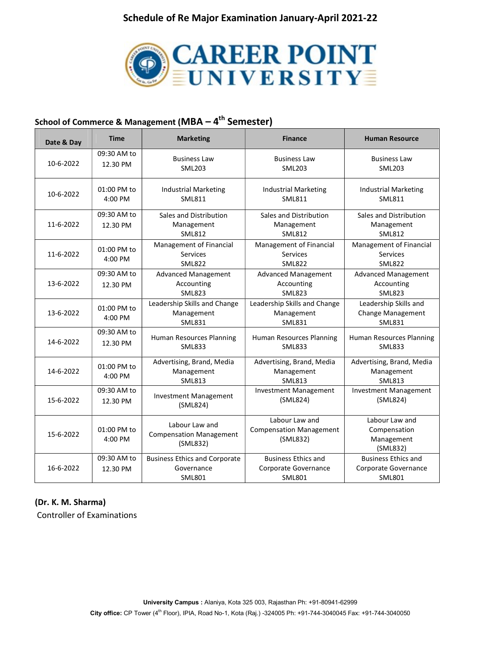

## School of Commerce & Management (MBA  $-4$ <sup>th</sup> Semester)

| Date & Day | <b>Time</b>             | <b>Marketing</b>                                                    | <b>Finance</b>                                                      | <b>Human Resource</b>                                               |
|------------|-------------------------|---------------------------------------------------------------------|---------------------------------------------------------------------|---------------------------------------------------------------------|
| 10-6-2022  | 09:30 AM to<br>12.30 PM | <b>Business Law</b><br><b>SML203</b>                                | <b>Business Law</b><br><b>SML203</b>                                | <b>Business Law</b><br><b>SML203</b>                                |
| 10-6-2022  | 01:00 PM to<br>4:00 PM  | <b>Industrial Marketing</b><br><b>SML811</b>                        | <b>Industrial Marketing</b><br><b>SML811</b>                        | <b>Industrial Marketing</b><br><b>SML811</b>                        |
| 11-6-2022  | 09:30 AM to<br>12.30 PM | Sales and Distribution<br>Management<br><b>SML812</b>               | Sales and Distribution<br>Management<br><b>SML812</b>               | Sales and Distribution<br>Management<br><b>SML812</b>               |
| 11-6-2022  | 01:00 PM to<br>4:00 PM  | Management of Financial<br>Services<br><b>SML822</b>                | Management of Financial<br>Services<br><b>SML822</b>                | Management of Financial<br><b>Services</b><br><b>SML822</b>         |
| 13-6-2022  | 09:30 AM to<br>12.30 PM | <b>Advanced Management</b><br>Accounting<br><b>SML823</b>           | <b>Advanced Management</b><br>Accounting<br><b>SML823</b>           | <b>Advanced Management</b><br>Accounting<br><b>SML823</b>           |
| 13-6-2022  | 01:00 PM to<br>4:00 PM  | Leadership Skills and Change<br>Management<br><b>SML831</b>         | Leadership Skills and Change<br>Management<br><b>SML831</b>         | Leadership Skills and<br>Change Management<br><b>SML831</b>         |
| 14-6-2022  | 09:30 AM to<br>12.30 PM | Human Resources Planning<br><b>SML833</b>                           | Human Resources Planning<br><b>SML833</b>                           | Human Resources Planning<br><b>SML833</b>                           |
| 14-6-2022  | 01:00 PM to<br>4:00 PM  | Advertising, Brand, Media<br>Management<br><b>SML813</b>            | Advertising, Brand, Media<br>Management<br><b>SML813</b>            | Advertising, Brand, Media<br>Management<br><b>SML813</b>            |
| 15-6-2022  | 09:30 AM to<br>12.30 PM | <b>Investment Management</b><br>(SML824)                            | <b>Investment Management</b><br>(ML824)                             | <b>Investment Management</b><br>(SML824)                            |
| 15-6-2022  | 01:00 PM to<br>4:00 PM  | Labour Law and<br><b>Compensation Management</b><br>(SML832)        | Labour Law and<br><b>Compensation Management</b><br>(SML832)        | Labour Law and<br>Compensation<br>Management<br>(SML832)            |
| 16-6-2022  | 09:30 AM to<br>12.30 PM | <b>Business Ethics and Corporate</b><br>Governance<br><b>SML801</b> | <b>Business Ethics and</b><br>Corporate Governance<br><b>SML801</b> | <b>Business Ethics and</b><br>Corporate Governance<br><b>SML801</b> |

### (Dr. K. M. Sharma)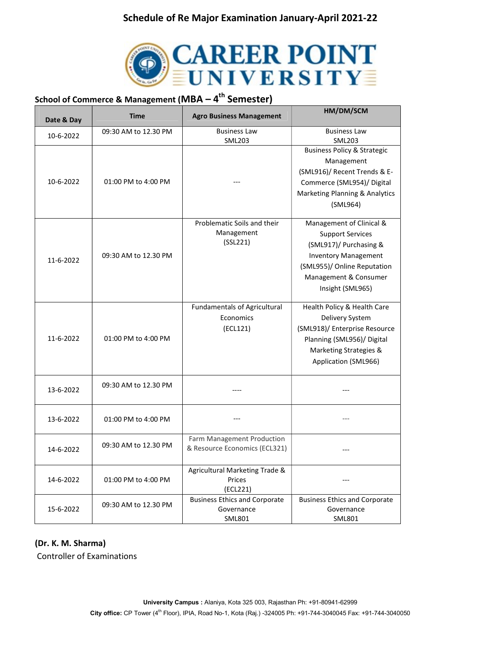

# School of Commerce & Management (MBA  $-$  4<sup>th</sup> Semester)

| Date & Day | <b>Time</b>          | <b>Agro Business Management</b>                             | HM/DM/SCM                                            |
|------------|----------------------|-------------------------------------------------------------|------------------------------------------------------|
| 10-6-2022  | 09:30 AM to 12.30 PM | <b>Business Law</b>                                         | <b>Business Law</b>                                  |
|            |                      | <b>SML203</b>                                               | <b>SML203</b>                                        |
|            |                      |                                                             | <b>Business Policy &amp; Strategic</b>               |
|            |                      |                                                             | Management                                           |
|            |                      |                                                             | (SML916)/ Recent Trends & E-                         |
| 10-6-2022  | 01:00 PM to 4:00 PM  |                                                             | Commerce (SML954)/ Digital                           |
|            |                      |                                                             | Marketing Planning & Analytics                       |
|            |                      |                                                             | (SML964)                                             |
|            |                      |                                                             |                                                      |
|            |                      | Problematic Soils and their                                 | Management of Clinical &                             |
|            |                      | Management<br>(SSL221)                                      | <b>Support Services</b>                              |
|            |                      |                                                             | (SML917)/ Purchasing &                               |
| 11-6-2022  | 09:30 AM to 12.30 PM |                                                             | <b>Inventory Management</b>                          |
|            |                      |                                                             | (SML955)/ Online Reputation<br>Management & Consumer |
|            |                      |                                                             |                                                      |
|            |                      |                                                             | Insight (SML965)                                     |
|            |                      | <b>Fundamentals of Agricultural</b>                         | Health Policy & Health Care                          |
|            |                      | Economics                                                   | Delivery System                                      |
|            |                      | (ECL121)                                                    | (SML918)/ Enterprise Resource                        |
| 11-6-2022  | 01:00 PM to 4:00 PM  |                                                             | Planning (SML956)/ Digital                           |
|            |                      |                                                             | Marketing Strategies &                               |
|            |                      |                                                             | Application (SML966)                                 |
|            |                      |                                                             |                                                      |
| 13-6-2022  | 09:30 AM to 12.30 PM |                                                             |                                                      |
|            |                      |                                                             |                                                      |
|            |                      |                                                             |                                                      |
| 13-6-2022  | 01:00 PM to 4:00 PM  |                                                             |                                                      |
|            |                      |                                                             |                                                      |
|            | 09:30 AM to 12.30 PM | Farm Management Production<br>& Resource Economics (ECL321) |                                                      |
| 14-6-2022  |                      |                                                             |                                                      |
|            |                      | Agricultural Marketing Trade &                              |                                                      |
| 14-6-2022  | 01:00 PM to 4:00 PM  | Prices                                                      |                                                      |
|            |                      | (ECL221)                                                    |                                                      |
|            | 09:30 AM to 12.30 PM | <b>Business Ethics and Corporate</b>                        | <b>Business Ethics and Corporate</b>                 |
| 15-6-2022  |                      | Governance                                                  | Governance                                           |
|            |                      | <b>SML801</b>                                               | <b>SML801</b>                                        |

#### (Dr. K. M. Sharma)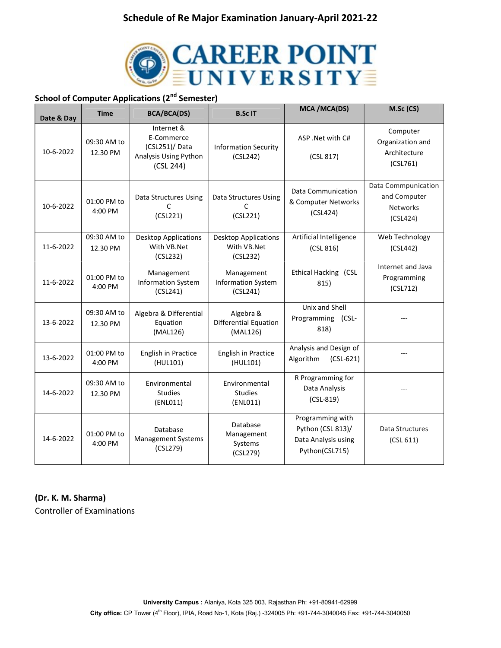

## School of Computer Applications (2<sup>nd</sup> Semester)

| Date & Day | <b>Time</b>             | <b>BCA/BCA(DS)</b>                                                               | <b>B.ScIT</b>                                          | MCA / MCA(DS)                                                                  | M.Sc (CS)                                                          |
|------------|-------------------------|----------------------------------------------------------------------------------|--------------------------------------------------------|--------------------------------------------------------------------------------|--------------------------------------------------------------------|
| 10-6-2022  | 09:30 AM to<br>12.30 PM | Internet &<br>E-Commerce<br>(CSL251)/ Data<br>Analysis Using Python<br>(CSL 244) | <b>Information Security</b><br>(CSL242)                | ASP .Net with C#<br>(CSL 817)                                                  | Computer<br>Organization and<br>Architecture<br>(CSL761)           |
| 10-6-2022  | 01:00 PM to<br>4:00 PM  | Data Structures Using<br>C<br>(CSL221)                                           | Data Structures Using<br>C<br>(CSL221)                 | Data Communication<br>& Computer Networks<br>(CSL424)                          | Data Commpunication<br>and Computer<br><b>Networks</b><br>(CSL424) |
| 11-6-2022  | 09:30 AM to<br>12.30 PM | <b>Desktop Applications</b><br>With VB.Net<br>(CSL232)                           | <b>Desktop Applications</b><br>With VB.Net<br>(CSL232) | Artificial Intelligence<br>(CSL 816)                                           | Web Technology<br>(CSL442)                                         |
| 11-6-2022  | 01:00 PM to<br>4:00 PM  | Management<br><b>Information System</b><br>(CSL241)                              | Management<br><b>Information System</b><br>(CSL241)    | Ethical Hacking (CSL<br>815)                                                   | Internet and Java<br>Programming<br>(CSL712)                       |
| 13-6-2022  | 09:30 AM to<br>12.30 PM | Algebra & Differential<br>Equation<br>(MAL126)                                   | Algebra &<br>Differential Equation<br>(MAL126)         | Unix and Shell<br>Programming (CSL-<br>818)                                    |                                                                    |
| 13-6-2022  | 01:00 PM to<br>4:00 PM  | English in Practice<br>(HUL101)                                                  | English in Practice<br>(HUL101)                        | Analysis and Design of<br>Algorithm<br>$(CSL-621)$                             |                                                                    |
| 14-6-2022  | 09:30 AM to<br>12.30 PM | Environmental<br><b>Studies</b><br>(ENLO11)                                      | Environmental<br><b>Studies</b><br>(ENL011)            | R Programming for<br>Data Analysis<br>$(CSL-819)$                              |                                                                    |
| 14-6-2022  | 01:00 PM to<br>4:00 PM  | Database<br>Management Systems<br>(CSL279)                                       | Database<br>Management<br>Systems<br>(CSL279)          | Programming with<br>Python (CSL 813)/<br>Data Analysis using<br>Python(CSL715) | Data Structures<br>(CSL 611)                                       |

#### (Dr. K. M. Sharma)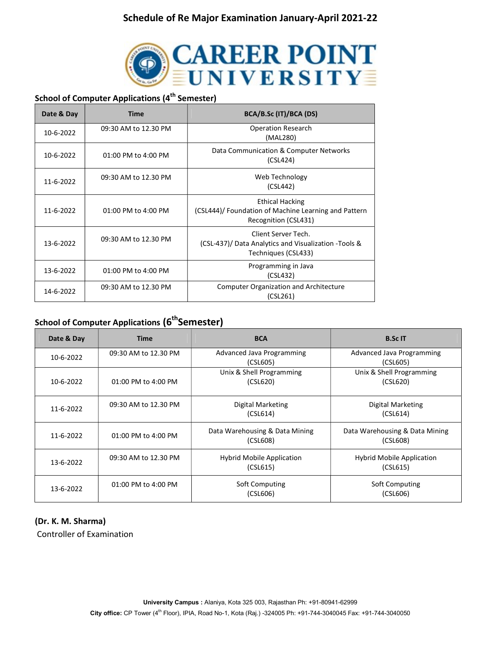

## School of Computer Applications (4<sup>th</sup> Semester)

| Date & Day | <b>Time</b>          | BCA/B.Sc (IT)/BCA (DS)                                                                                 |
|------------|----------------------|--------------------------------------------------------------------------------------------------------|
| 10-6-2022  | 09:30 AM to 12.30 PM | <b>Operation Research</b><br>(MAL280)                                                                  |
| 10-6-2022  | 01:00 PM to 4:00 PM  | Data Communication & Computer Networks<br>(CSL424)                                                     |
| 11-6-2022  | 09:30 AM to 12.30 PM | Web Technology<br>(CSL442)                                                                             |
| 11-6-2022  | 01:00 PM to 4:00 PM  | <b>Ethical Hacking</b><br>(CSL444)/ Foundation of Machine Learning and Pattern<br>Recognition (CSL431) |
| 13-6-2022  | 09:30 AM to 12.30 PM | Client Server Tech.<br>(CSL-437)/ Data Analytics and Visualization - Tools &<br>Techniques (CSL433)    |
| 13-6-2022  | 01:00 PM to 4:00 PM  | Programming in Java<br>(CSL432)                                                                        |
| 14-6-2022  | 09:30 AM to 12.30 PM | <b>Computer Organization and Architecture</b><br>(CSL261)                                              |

## School of Computer Applications (6<sup>th</sup>Semester)

| Date & Day | <b>Time</b>             | <b>BCA</b>                                   | <b>B.Sc IT</b>                               |
|------------|-------------------------|----------------------------------------------|----------------------------------------------|
| 10-6-2022  | 09:30 AM to 12.30 PM    | Advanced Java Programming<br>(CSL605)        | Advanced Java Programming<br>(CSL605)        |
| 10-6-2022  | 01:00 PM to 4:00 PM     | Unix & Shell Programming<br>(CSL620)         | Unix & Shell Programming<br>(CSL620)         |
| 11-6-2022  | 09:30 AM to 12.30 PM    | Digital Marketing<br>(CSL614)                | Digital Marketing<br>(CSL614)                |
| 11-6-2022  | 01:00 PM to 4:00 PM     | Data Warehousing & Data Mining<br>(CSL608)   | Data Warehousing & Data Mining<br>(CSL608)   |
| 13-6-2022  | 09:30 AM to 12.30 PM    | <b>Hybrid Mobile Application</b><br>(CSL615) | <b>Hybrid Mobile Application</b><br>(CSL615) |
| 13-6-2022  | $01:00$ PM to $4:00$ PM | Soft Computing<br>(CSL606)                   | Soft Computing<br>(CSL606)                   |

#### (Dr. K. M. Sharma)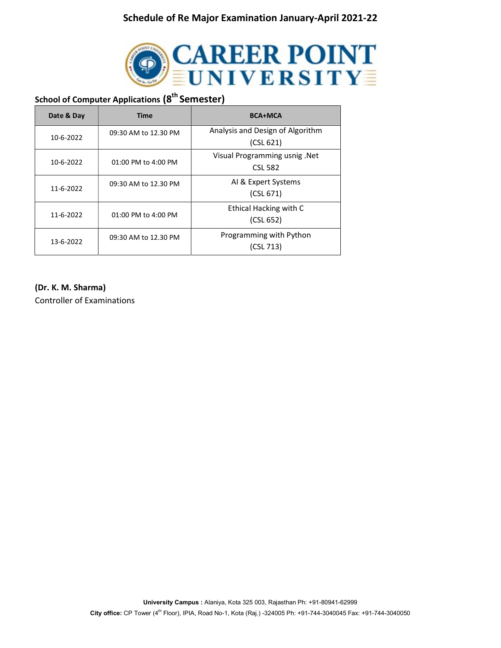

## School of Computer Applications (8<sup>th</sup> Semester)

| Date & Day | <b>Time</b>          | <b>BCA+MCA</b>                                  |
|------------|----------------------|-------------------------------------------------|
| 10-6-2022  | 09:30 AM to 12.30 PM | Analysis and Design of Algorithm<br>(CSL 621)   |
| 10-6-2022  | 01:00 PM to 4:00 PM  | Visual Programming usnig .Net<br><b>CSL 582</b> |
| 11-6-2022  | 09:30 AM to 12.30 PM | AI & Expert Systems<br>(CSL 671)                |
| 11-6-2022  | 01:00 PM to 4:00 PM  | Ethical Hacking with C<br>(CSL 652)             |
| 13-6-2022  | 09:30 AM to 12.30 PM | Programming with Python<br>(CSL 713)            |

#### (Dr. K. M. Sharma)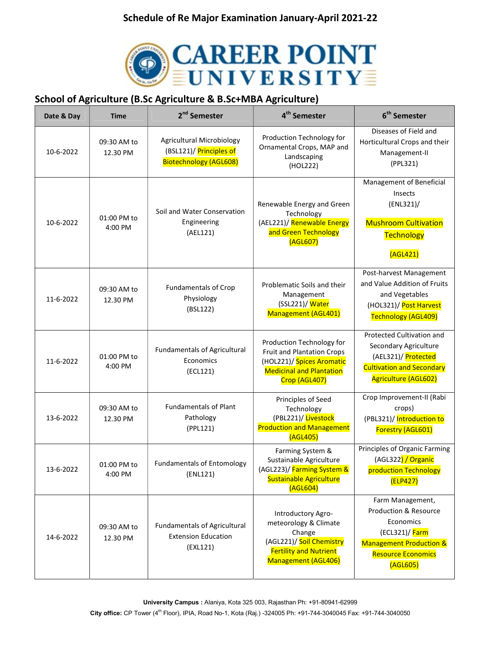

## School of Agriculture (B.Sc Agriculture & B.Sc+MBA Agriculture)

| Date & Day | <b>Time</b>             | 2 <sup>nd</sup> Semester                                                                     | 4 <sup>th</sup> Semester                                                                                                                        | 6 <sup>th</sup> Semester                                                                                                                               |
|------------|-------------------------|----------------------------------------------------------------------------------------------|-------------------------------------------------------------------------------------------------------------------------------------------------|--------------------------------------------------------------------------------------------------------------------------------------------------------|
| 10-6-2022  | 09:30 AM to<br>12.30 PM | <b>Agricultural Microbiology</b><br>(BSL121)/ Principles of<br><b>Biotechnology (AGL608)</b> | Production Technology for<br>Ornamental Crops, MAP and<br>Landscaping<br>(HOL222)                                                               | Diseases of Field and<br>Horticultural Crops and their<br>Management-II<br>(PPL321)                                                                    |
| 10-6-2022  | 01:00 PM to<br>4:00 PM  | Soil and Water Conservation<br>Engineering<br>(AEL121)                                       | Renewable Energy and Green<br>Technology<br>(AEL221)/ Renewable Energy<br>and Green Technology<br>(AGL607)                                      | Management of Beneficial<br>Insects<br>(ENL321)/<br><b>Mushroom Cultivation</b><br>Technology<br>(AGL421)                                              |
| 11-6-2022  | 09:30 AM to<br>12.30 PM | <b>Fundamentals of Crop</b><br>Physiology<br>(BSL122)                                        | Problematic Soils and their<br>Management<br>(SSL221)/ Water<br>Management (AGL401)                                                             | Post-harvest Management<br>and Value Addition of Fruits<br>and Vegetables<br>(HOL321)/ Post Harvest<br>Technology (AGL409)                             |
| 11-6-2022  | 01:00 PM to<br>4:00 PM  | <b>Fundamentals of Agricultural</b><br>Economics<br>(ECL121)                                 | Production Technology for<br><b>Fruit and Plantation Crops</b><br>(HOL221)/ Spices Aromatic<br><b>Medicinal and Plantation</b><br>Crop (AGL407) | Protected Cultivation and<br>Secondary Agriculture<br>(AEL321)/ Protected<br><b>Cultivation and Secondary</b><br><b>Agriculture (AGL602)</b>           |
| 13-6-2022  | 09:30 AM to<br>12.30 PM | <b>Fundamentals of Plant</b><br>Pathology<br>(PPL121)                                        | Principles of Seed<br>Technology<br>(PBL221)/ Livestock<br><b>Production and Management</b><br>(AGL405)                                         | Crop Improvement-II (Rabi<br>crops)<br>(PBL321)/ Introduction to<br>Forestry (AGL601)                                                                  |
| 13-6-2022  | 01:00 PM to<br>4:00 PM  | <b>Fundamentals of Entomology</b><br>(ENL121)                                                | Farming System &<br>Sustainable Agriculture<br>(AGL223)/ Farming System &<br>Sustainable Agriculture<br>(AGL604)                                | Principles of Organic Farming<br>(AGL322) / Organic<br>production Technology<br>(ELP427)                                                               |
| 14-6-2022  | 09:30 AM to<br>12.30 PM | <b>Fundamentals of Agricultural</b><br><b>Extension Education</b><br>(EXL121)                | Introductory Agro-<br>meteorology & Climate<br>Change<br>(AGL221)/ Soil Chemistry<br><b>Fertility and Nutrient</b><br>Management (AGL406)       | Farm Management,<br>Production & Resource<br>Economics<br>(ECL321)/Farm<br><b>Management Production &amp;</b><br><b>Resource Economics</b><br>(AGL605) |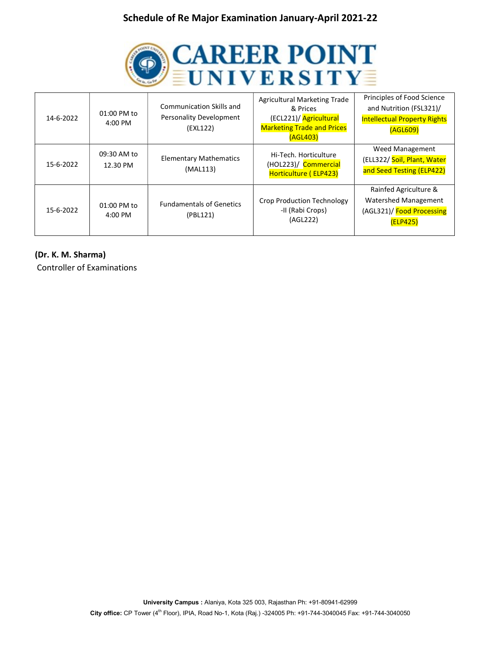

| 14-6-2022 | $01:00$ PM to<br>$4:00$ PM | Communication Skills and<br>Personality Development<br>(EXL122) | Agricultural Marketing Trade<br>& Prices<br>(ECL221)/ Agricultural<br><b>Marketing Trade and Prices</b><br>(AGL403) | Principles of Food Science<br>and Nutrition (FSL321)/<br><b>Intellectual Property Rights</b><br>(AGL609) |
|-----------|----------------------------|-----------------------------------------------------------------|---------------------------------------------------------------------------------------------------------------------|----------------------------------------------------------------------------------------------------------|
| 15-6-2022 | 09:30 AM to<br>12.30 PM    | <b>Elementary Mathematics</b><br>(MAL113)                       | Hi-Tech. Horticulture<br>(HOL223)/ Commercial<br>Horticulture (ELP423)                                              | Weed Management<br>(ELL322/ Soil, Plant, Water<br>and Seed Testing (ELP422)                              |
| 15-6-2022 | 01:00 PM to<br>$4:00$ PM   | <b>Fundamentals of Genetics</b><br>(PBL121)                     | <b>Crop Production Technology</b><br>-II (Rabi Crops)<br>(AGL222)                                                   | Rainfed Agriculture &<br>Watershed Management<br>(AGL321)/ Food Processing<br>(ELP425)                   |

(Dr. K. M. Sharma)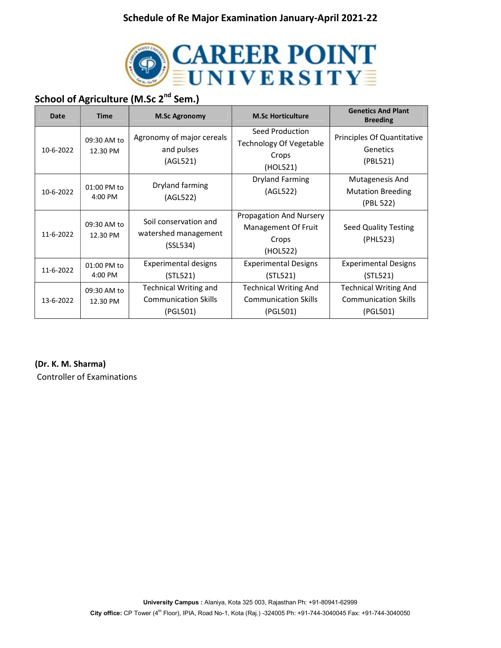

## School of Agriculture (M.Sc 2<sup>nd</sup> Sem.)

| Date      | <b>Time</b>             | <b>M.Sc Agronomy</b>                                                    | <b>M.Sc Horticulture</b>                                                | <b>Genetics And Plant</b><br><b>Breeding</b>                            |
|-----------|-------------------------|-------------------------------------------------------------------------|-------------------------------------------------------------------------|-------------------------------------------------------------------------|
| 10-6-2022 | 09:30 AM to<br>12.30 PM | Agronomy of major cereals<br>and pulses<br>(AGL521)                     | Seed Production<br><b>Technology Of Vegetable</b><br>Crops<br>(HOL521)  | Principles Of Quantitative<br>Genetics<br>(PBL521)                      |
| 10-6-2022 | 01:00 PM to<br>4:00 PM  | Dryland farming<br>(AGL522)                                             | <b>Dryland Farming</b><br>(AGL522)                                      | Mutagenesis And<br><b>Mutation Breeding</b><br>(PBL 522)                |
| 11-6-2022 | 09:30 AM to<br>12.30 PM | Soil conservation and<br>watershed management<br>(SSL534)               | Propagation And Nursery<br>Management Of Fruit<br>Crops<br>(HOL522)     | Seed Quality Testing<br>(PHL523)                                        |
| 11-6-2022 | 01:00 PM to<br>4:00 PM  | Experimental designs<br>(STL521)                                        | <b>Experimental Designs</b><br>(STL521)                                 | <b>Experimental Designs</b><br>(STL521)                                 |
| 13-6-2022 | 09:30 AM to<br>12.30 PM | <b>Technical Writing and</b><br><b>Communication Skills</b><br>(PGL501) | <b>Technical Writing And</b><br><b>Communication Skills</b><br>(PGL501) | <b>Technical Writing And</b><br><b>Communication Skills</b><br>(PGL501) |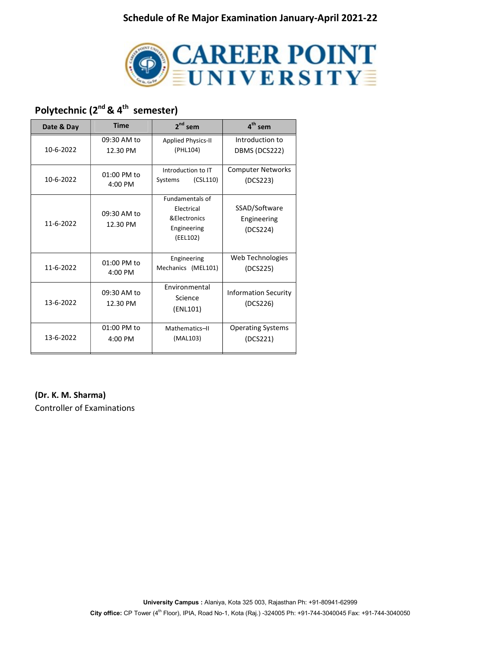

# Polytechnic (2<sup>nd</sup> & 4<sup>th</sup> semester)

| Date & Day | <b>Time</b>             | $2^{nd}$ sem                                                                     | $4th$ sem                                |
|------------|-------------------------|----------------------------------------------------------------------------------|------------------------------------------|
| 10-6-2022  | 09:30 AM to<br>12.30 PM | <b>Applied Physics-II</b><br>(PHL104)                                            | Introduction to<br>DBMS (DCS222)         |
| 10-6-2022  | 01:00 PM to<br>4:00 PM  | Introduction to IT<br>(CSL110)<br>Systems                                        | <b>Computer Networks</b><br>(DCS223)     |
| 11-6-2022  | 09:30 AM to<br>12.30 PM | <b>Fundamentals of</b><br>Electrical<br>& Electronics<br>Engineering<br>(EEL102) | SSAD/Software<br>Engineering<br>(DCS224) |
| 11-6-2022  | 01:00 PM to<br>4:00 PM  | Engineering<br>Mechanics (MEL101)                                                | Web Technologies<br>(DCS225)             |
| 13-6-2022  | 09:30 AM to<br>12.30 PM | Environmental<br>Science<br>(ENL101)                                             | <b>Information Security</b><br>(DCS226)  |
| 13-6-2022  | 01:00 PM to<br>4:00 PM  | Mathematics-II<br>(MAL103)                                                       | <b>Operating Systems</b><br>(DCS221)     |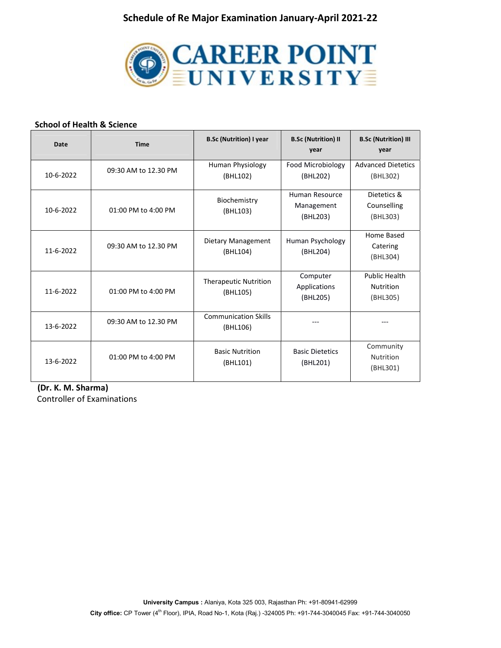

#### School of Health & Science

| <b>Date</b> | <b>Time</b>          | <b>B.Sc (Nutrition) I year</b>           | <b>B.Sc (Nutrition) II</b><br>year       | <b>B.Sc (Nutrition) III</b><br>year                  |
|-------------|----------------------|------------------------------------------|------------------------------------------|------------------------------------------------------|
| 10-6-2022   | 09:30 AM to 12.30 PM | Human Physiology<br>(BHL102)             | Food Microbiology<br>(BHL202)            | <b>Advanced Dietetics</b><br>(BHL302)                |
| 10-6-2022   | 01:00 PM to 4:00 PM  | Biochemistry<br>(BHL103)                 | Human Resource<br>Management<br>(BHL203) | Dietetics &<br>Counselling<br>(BHL303)               |
| 11-6-2022   | 09:30 AM to 12.30 PM | Dietary Management<br>(BHL104)           | Human Psychology<br>(BHL204)             | Home Based<br>Catering<br>(BHL304)                   |
| 11-6-2022   | 01:00 PM to 4:00 PM  | <b>Therapeutic Nutrition</b><br>(BHL105) | Computer<br>Applications<br>(BHL205)     | <b>Public Health</b><br><b>Nutrition</b><br>(BHL305) |
| 13-6-2022   | 09:30 AM to 12.30 PM | <b>Communication Skills</b><br>(BHL106)  |                                          |                                                      |
| 13-6-2022   | 01:00 PM to 4:00 PM  | <b>Basic Nutrition</b><br>(BHL101)       | <b>Basic Dietetics</b><br>(BHL201)       | Community<br>Nutrition<br>(BHL301)                   |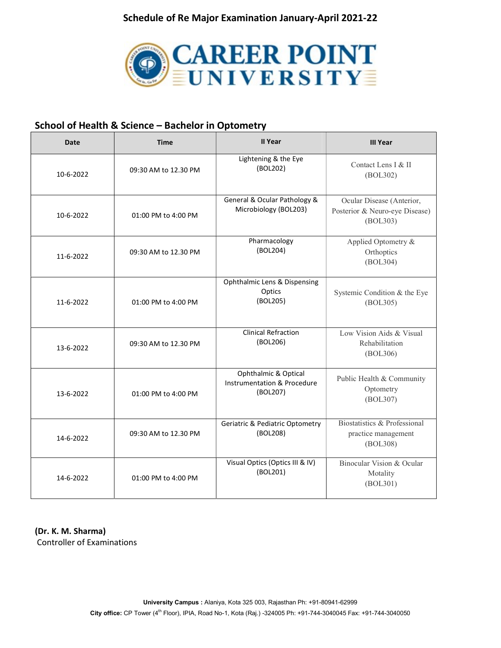

## School of Health & Science – Bachelor in Optometry

| Date      | <b>Time</b>          | <b>II Year</b>                                                  | <b>III Year</b>                                                         |
|-----------|----------------------|-----------------------------------------------------------------|-------------------------------------------------------------------------|
| 10-6-2022 | 09:30 AM to 12.30 PM | Lightening & the Eye<br>(BOL202)                                | Contact Lens I & II<br>(BOL302)                                         |
| 10-6-2022 | 01:00 PM to 4:00 PM  | General & Ocular Pathology &<br>Microbiology (BOL203)           | Ocular Disease (Anterior,<br>Posterior & Neuro-eye Disease)<br>(BOL303) |
| 11-6-2022 | 09:30 AM to 12.30 PM | Pharmacology<br>(BOL204)                                        | Applied Optometry &<br>Orthoptics<br>(BOL304)                           |
| 11-6-2022 | 01:00 PM to 4:00 PM  | Ophthalmic Lens & Dispensing<br>Optics<br>(BOL205)              | Systemic Condition & the Eye<br>(BOL305)                                |
| 13-6-2022 | 09:30 AM to 12.30 PM | <b>Clinical Refraction</b><br>(BOL206)                          | Low Vision Aids & Visual<br>Rehabilitation<br>(BOL306)                  |
| 13-6-2022 | 01:00 PM to 4:00 PM  | Ophthalmic & Optical<br>Instrumentation & Procedure<br>(BOL207) | Public Health & Community<br>Optometry<br>(BOL307)                      |
| 14-6-2022 | 09:30 AM to 12.30 PM | <b>Geriatric &amp; Pediatric Optometry</b><br>(BOL208)          | Biostatistics & Professional<br>practice management<br>(BOL308)         |
| 14-6-2022 | 01:00 PM to 4:00 PM  | Visual Optics (Optics III & IV)<br>(BOL201)                     | Binocular Vision & Ocular<br>Motality<br>(BOL301)                       |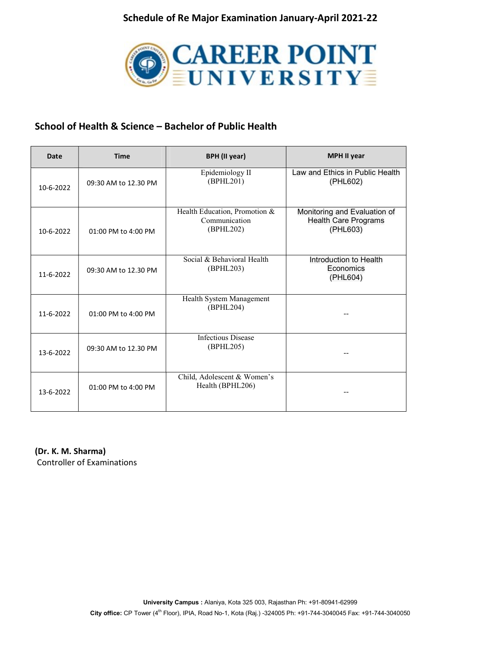

## School of Health & Science – Bachelor of Public Health

| Date      | <b>Time</b>          | <b>BPH</b> (II year)                                        | <b>MPH II year</b>                                                      |
|-----------|----------------------|-------------------------------------------------------------|-------------------------------------------------------------------------|
| 10-6-2022 | 09:30 AM to 12.30 PM | Epidemiology II<br>(BPHL201)                                | Law and Ethics in Public Health<br>(PHL602)                             |
| 10-6-2022 | 01:00 PM to 4:00 PM  | Health Education, Promotion &<br>Communication<br>(BPHL202) | Monitoring and Evaluation of<br><b>Health Care Programs</b><br>(PHL603) |
| 11-6-2022 | 09:30 AM to 12.30 PM | Social & Behavioral Health<br>(BPHL203)                     | Introduction to Health<br>Economics<br>(PHL604)                         |
| 11-6-2022 | 01:00 PM to 4:00 PM  | Health System Management<br>(BPHL204)                       |                                                                         |
| 13-6-2022 | 09:30 AM to 12.30 PM | <b>Infectious Disease</b><br>(BPHL205)                      |                                                                         |
| 13-6-2022 | 01:00 PM to 4:00 PM  | Child, Adolescent & Women's<br>Health (BPHL206)             |                                                                         |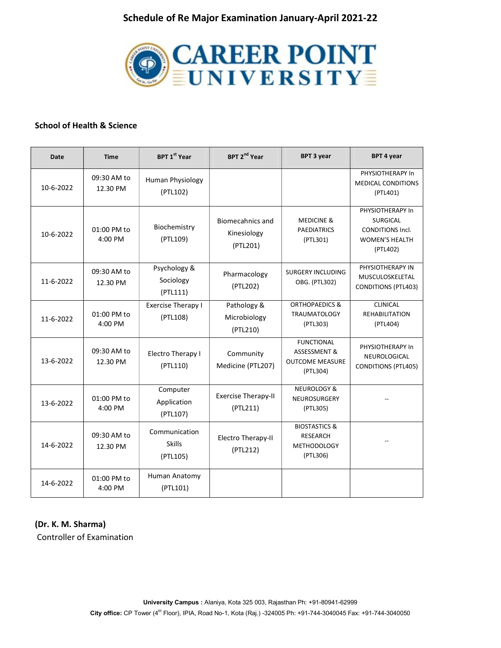

#### School of Health & Science

| <b>Date</b> | <b>Time</b>             | <b>BPT 1st Year</b>                        | BPT 2 <sup>nd</sup> Year                           | <b>BPT 3 year</b>                                                             | <b>BPT 4 year</b>                                                                                   |
|-------------|-------------------------|--------------------------------------------|----------------------------------------------------|-------------------------------------------------------------------------------|-----------------------------------------------------------------------------------------------------|
| 10-6-2022   | 09:30 AM to<br>12.30 PM | Human Physiology<br>(PTL102)               |                                                    |                                                                               | PHYSIOTHERAPY In<br><b>MEDICAL CONDITIONS</b><br>(PTL401)                                           |
| 10-6-2022   | 01:00 PM to<br>4:00 PM  | Biochemistry<br>(PTL109)                   | <b>Biomecahnics and</b><br>Kinesiology<br>(PTL201) | <b>MEDICINE &amp;</b><br><b>PAEDIATRICS</b><br>(PTL301)                       | PHYSIOTHERAPY In<br><b>SURGICAL</b><br><b>CONDITIONS Incl.</b><br><b>WOMEN'S HEALTH</b><br>(PTL402) |
| 11-6-2022   | 09:30 AM to<br>12.30 PM | Psychology &<br>Sociology<br>(PTL111)      | Pharmacology<br>(PTL202)                           | <b>SURGERY INCLUDING</b><br>OBG. (PTL302)                                     | PHYSIOTHERAPY IN<br>MUSCULOSKELETAL<br><b>CONDITIONS (PTL403)</b>                                   |
| 11-6-2022   | 01:00 PM to<br>4:00 PM  | <b>Exercise Therapy I</b><br>(PTL108)      | Pathology &<br>Microbiology<br>(PTL210)            | <b>ORTHOPAEDICS &amp;</b><br><b>TRAUMATOLOGY</b><br>(PTL303)                  | <b>CLINICAL</b><br><b>REHABILITATION</b><br>(PTL404)                                                |
| 13-6-2022   | 09:30 AM to<br>12.30 PM | Electro Therapy I<br>(PTL110)              | Community<br>Medicine (PTL207)                     | <b>FUNCTIONAL</b><br>ASSESSMENT &<br><b>OUTCOME MEASURE</b><br>(PTL304)       | PHYSIOTHERAPY In<br>NEUROLOGICAL<br><b>CONDITIONS (PTL405)</b>                                      |
| 13-6-2022   | 01:00 PM to<br>4:00 PM  | Computer<br>Application<br>(PTL107)        | <b>Exercise Therapy-II</b><br>(PTL211)             | <b>NEUROLOGY &amp;</b><br><b>NEUROSURGERY</b><br>(PTL305)                     |                                                                                                     |
| 14-6-2022   | 09:30 AM to<br>12.30 PM | Communication<br><b>Skills</b><br>(PTL105) | Electro Therapy-II<br>(PTL212)                     | <b>BIOSTASTICS &amp;</b><br><b>RESEARCH</b><br><b>METHODOLOGY</b><br>(PTL306) |                                                                                                     |
| 14-6-2022   | 01:00 PM to<br>4:00 PM  | Human Anatomy<br>(PTL101)                  |                                                    |                                                                               |                                                                                                     |

#### (Dr. K. M. Sharma)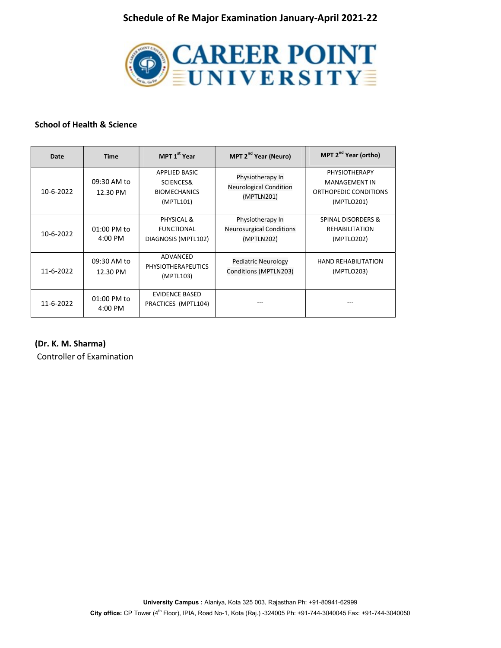

#### School of Health & Science

| Date      | <b>Time</b>                          | MPT 1 <sup>st</sup> Year                                       | MPT 2 <sup>nd</sup> Year (Neuro)                                  | MPT 2 <sup>nd</sup> Year (ortho)                                                    |
|-----------|--------------------------------------|----------------------------------------------------------------|-------------------------------------------------------------------|-------------------------------------------------------------------------------------|
| 10-6-2022 | 09:30 AM to<br>12.30 PM              | APPLIED BASIC<br>SCIENCES&<br><b>BIOMECHANICS</b><br>(MPTL101) | Physiotherapy In<br><b>Neurological Condition</b><br>(MPTLN201)   | <b>PHYSIOTHERAPY</b><br><b>MANAGEMENT IN</b><br>ORTHOPEDIC CONDITIONS<br>(MPTLO201) |
| 10-6-2022 | $01:00$ PM to<br>$4:00 \, \text{PM}$ | PHYSICAL &<br><b>FUNCTIONAL</b><br>DIAGNOSIS (MPTL102)         | Physiotherapy In<br><b>Neurosurgical Conditions</b><br>(MPTLN202) | <b>SPINAL DISORDERS &amp;</b><br><b>REHABILITATION</b><br>(MPTLO202)                |
| 11-6-2022 | 09:30 AM to<br>12.30 PM              | ADVANCED<br><b>PHYSIOTHERAPEUTICS</b><br>(MPTL103)             | Pediatric Neurology<br>Conditions (MPTLN203)                      | <b>HAND REHABILITATION</b><br>(MPTLO203)                                            |
| 11-6-2022 | 01:00 PM to<br>4:00 PM               | <b>EVIDENCE BASED</b><br>PRACTICES (MPTL104)                   |                                                                   |                                                                                     |

(Dr. K. M. Sharma)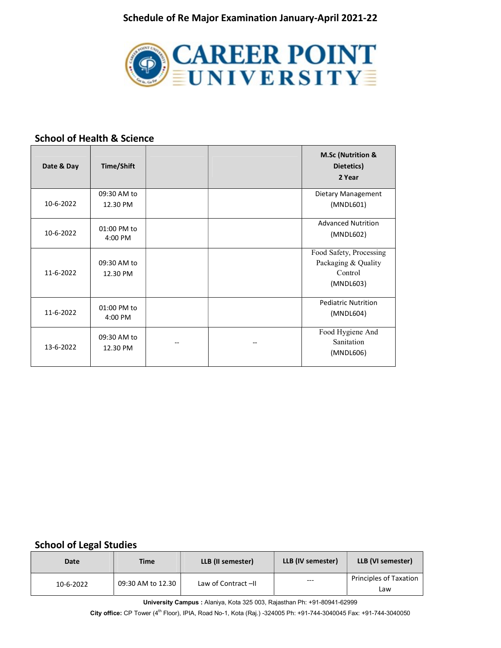

#### School of Health & Science

| Date & Day | Time/Shift  |  | M.Sc (Nutrition &<br>Dietetics)<br>2 Year |
|------------|-------------|--|-------------------------------------------|
|            | 09:30 AM to |  | Dietary Management                        |
| 10-6-2022  | 12.30 PM    |  | (MNDL601)                                 |
|            | 01:00 PM to |  | <b>Advanced Nutrition</b>                 |
| 10-6-2022  | 4:00 PM     |  | (MNDL602)                                 |
|            |             |  | Food Safety, Processing                   |
| 11-6-2022  | 09:30 AM to |  | Packaging & Quality<br>Control            |
|            | 12.30 PM    |  | (MNDL603)                                 |
|            |             |  |                                           |
|            | 01:00 PM to |  | <b>Pediatric Nutrition</b>                |
| 11-6-2022  | 4:00 PM     |  | (MNDL604)                                 |
|            | 09:30 AM to |  | Food Hygiene And                          |
| 13-6-2022  | 12.30 PM    |  | Sanitation                                |
|            |             |  | (MNDL606)                                 |

#### School of Legal Studies

| Date      | Time              | LLB (II semester)  | LLB (IV semester) | LLB (VI semester)             |
|-----------|-------------------|--------------------|-------------------|-------------------------------|
| 10-6-2022 | 09:30 AM to 12.30 | Law of Contract-II | $---$             | Principles of Taxation<br>Law |

University Campus : Alaniya, Kota 325 003, Rajasthan Ph: +91-80941-62999

City office: CP Tower (4th Floor), IPIA, Road No-1, Kota (Raj.) -324005 Ph: +91-744-3040045 Fax: +91-744-3040050